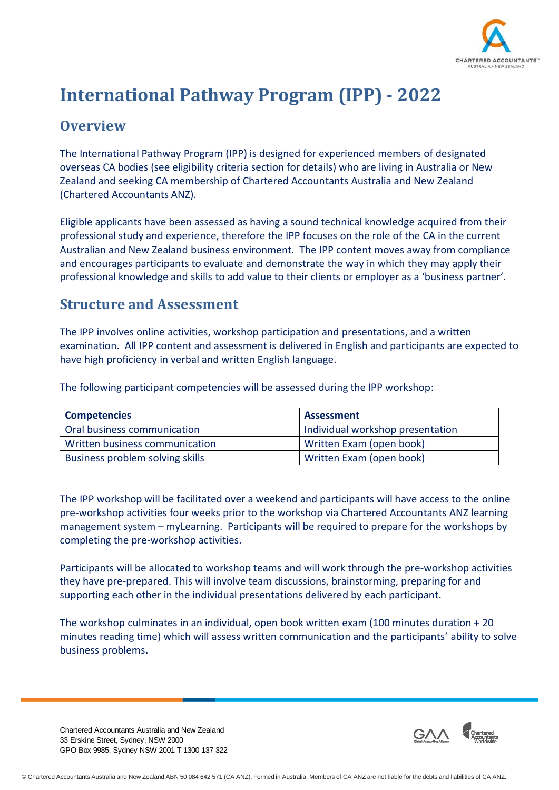

# **International Pathway Program (IPP) - 2022**

#### **Overview**

The International Pathway Program (IPP) is designed for experienced members of designated overseas CA bodies (see eligibility criteria section for details) who are living in Australia or New Zealand and seeking CA membership of Chartered Accountants Australia and New Zealand (Chartered Accountants ANZ).

Eligible applicants have been assessed as having a sound technical knowledge acquired from their professional study and experience, therefore the IPP focuses on the role of the CA in the current Australian and New Zealand business environment. The IPP content moves away from compliance and encourages participants to evaluate and demonstrate the way in which they may apply their professional knowledge and skills to add value to their clients or employer as a 'business partner'.

#### **Structure and Assessment**

The IPP involves online activities, workshop participation and presentations, and a written examination. All IPP content and assessment is delivered in English and participants are expected to have high proficiency in verbal and written English language.

The following participant competencies will be assessed during the IPP workshop:

| <b>Competencies</b>             | Assessment                       |
|---------------------------------|----------------------------------|
| Oral business communication     | Individual workshop presentation |
| Written business communication  | Written Exam (open book)         |
| Business problem solving skills | Written Exam (open book)         |

The IPP workshop will be facilitated over a weekend and participants will have access to the online pre-workshop activities four weeks prior to the workshop via Chartered Accountants ANZ learning management system – myLearning. Participants will be required to prepare for the workshops by completing the pre-workshop activities.

Participants will be allocated to workshop teams and will work through the pre-workshop activities they have pre-prepared. This will involve team discussions, brainstorming, preparing for and supporting each other in the individual presentations delivered by each participant.

The workshop culminates in an individual, open book written exam (100 minutes duration + 20 minutes reading time) which will assess written communication and the participants' ability to solve business problems**.**

Chartered Accountants Australia and New Zealand 33 Erskine Street, Sydney, NSW 2000 GPO Box 9985, Sydney NSW 2001 T 1300 137 322

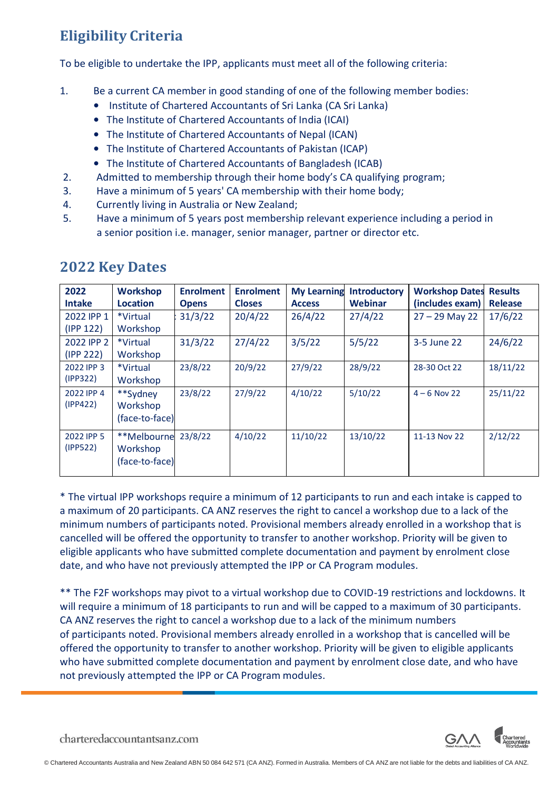## **Eligibility Criteria**

To be eligible to undertake the IPP, applicants must meet all of the following criteria:

- 1. Be a current CA member in good standing of one of the following member bodies:
	- Institute of Chartered Accountants of Sri Lanka (CA Sri Lanka)
	- The Institute of Chartered Accountants of India (ICAI)
	- The Institute of Chartered Accountants of Nepal (ICAN)
	- The Institute of Chartered Accountants of Pakistan (ICAP)
	- The Institute of Chartered Accountants of Bangladesh (ICAB)
- 2. Admitted to membership through their home body's CA qualifying program;
- 3. Have a minimum of 5 years' CA membership with their home body;
- 4. Currently living in Australia or New Zealand;
- 5. Have a minimum of 5 years post membership relevant experience including a period in a senior position i.e. manager, senior manager, partner or director etc.

| 2022<br><b>Intake</b>   | <b>Workshop</b><br>Location               | <b>Enrolment</b><br><b>Opens</b> | <b>Enrolment</b><br><b>Closes</b> | <b>My Learning</b><br><b>Access</b> | <b>Introductory</b><br>Webinar | <b>Workshop Dates</b><br>(includes exam) | <b>Results</b><br><b>Release</b> |
|-------------------------|-------------------------------------------|----------------------------------|-----------------------------------|-------------------------------------|--------------------------------|------------------------------------------|----------------------------------|
| 2022 IPP 1<br>(IPP 122) | *Virtual<br>Workshop                      | 31/3/22                          | 20/4/22                           | 26/4/22                             | 27/4/22                        | $27 - 29$ May 22                         | 17/6/22                          |
| 2022 IPP 2<br>(IPP 222) | *Virtual<br>Workshop                      | 31/3/22                          | 27/4/22                           | 3/5/22                              | 5/5/22                         | 3-5 June 22                              | 24/6/22                          |
| 2022 IPP 3<br>(IPP322)  | *Virtual<br>Workshop                      | 23/8/22                          | 20/9/22                           | 27/9/22                             | 28/9/22                        | 28-30 Oct 22                             | 18/11/22                         |
| 2022 IPP 4<br>(IPP422)  | **Sydney<br>Workshop<br>(face-to-face)    | 23/8/22                          | 27/9/22                           | 4/10/22                             | 5/10/22                        | $4 - 6$ Nov 22                           | 25/11/22                         |
| 2022 IPP 5<br>(IPP522)  | **Melbourne<br>Workshop<br>(face-to-face) | 23/8/22                          | 4/10/22                           | 11/10/22                            | 13/10/22                       | 11-13 Nov 22                             | 2/12/22                          |

#### **2022 Key Dates**

\* The virtual IPP workshops require a minimum of 12 participants to run and each intake is capped to a maximum of 20 participants. CA ANZ reserves the right to cancel a workshop due to a lack of the minimum numbers of participants noted. Provisional members already enrolled in a workshop that is cancelled will be offered the opportunity to transfer to another workshop. Priority will be given to eligible applicants who have submitted complete documentation and payment by enrolment close date, and who have not previously attempted the IPP or CA Program modules.

\*\* The F2F workshops may pivot to a virtual workshop due to COVID-19 restrictions and lockdowns. It will require a minimum of 18 participants to run and will be capped to a maximum of 30 participants. CA ANZ reserves the right to cancel a workshop due to a lack of the minimum numbers of participants noted. Provisional members already enrolled in a workshop that is cancelled will be offered the opportunity to transfer to another workshop. Priority will be given to eligible applicants who have submitted complete documentation and payment by enrolment close date, and who have not previously attempted the IPP or CA Program modules.



charteredaccountantsanz.com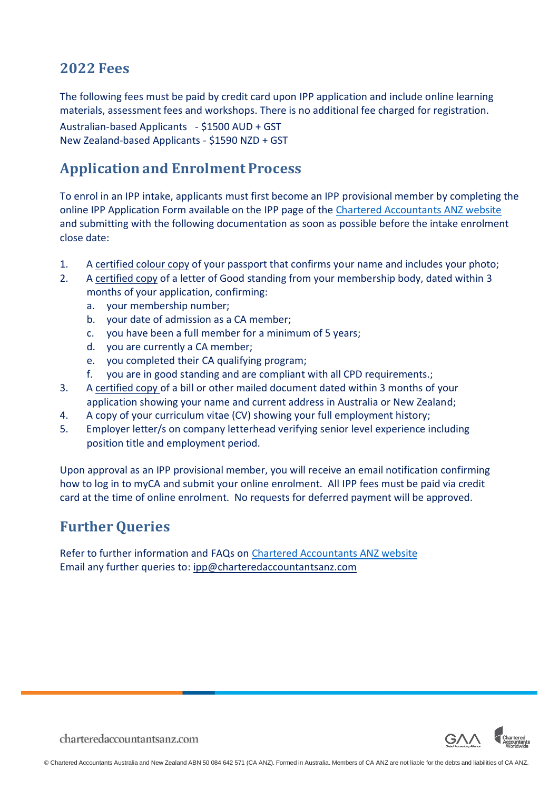#### **2022 Fees**

The following fees must be paid by credit card upon IPP application and include online learning materials, assessment fees and workshops. There is no additional fee charged for registration.

Australian-based Applicants - \$1500 AUD + GST New Zealand-based Applicants - \$1590 NZD + GST

### **Application and Enrolment Process**

To enrol in an IPP intake, applicants must first become an IPP provisional member by completing the online IPP Application Form available on the IPP page of the Chartered [Accountants ANZ](https://www.charteredaccountantsanz.com/become-a-member/memberships/pathway-for-members-of-overseas-accounting-bodies/international-pathway-program) website and submitting with the following documentation as soon as possible before the intake enrolment close date:

- 1. A [certified colour](https://www.charteredaccountantsanz.com/-/media/679ee73079e2446cb62b14ba1445d135.ashx) copy of your passport that confirms your name and includes your photo;
- 2. A [certified copy](https://www.charteredaccountantsanz.com/-/media/679ee73079e2446cb62b14ba1445d135.ashx) of a letter of Good standing from your membership body, dated within 3 months of your application, confirming:
	- a. your membership number;
	- b. your date of admission as a CA member;
	- c. you have been a full member for a minimum of 5 years;
	- d. you are currently a CA member;
	- e. you completed their CA qualifying program;
	- f. you are in good standing and are compliant with all CPD requirements.;
- 3. A [certified copy of](https://www.charteredaccountantsanz.com/-/media/679ee73079e2446cb62b14ba1445d135.ashx) a bill or other mailed document dated within 3 months of your application showing your name and current address in Australia or New Zealand;
- 4. A copy of your curriculum vitae (CV) showing your full employment history;
- 5. Employer letter/s on company letterhead verifying senior level experience including position title and employment period.

Upon approval as an IPP provisional member, you will receive an email notification confirming how to log in to myCA and submit your online enrolment. All IPP fees must be paid via credit card at the time of online enrolment. No requests for deferred payment will be approved.

#### **Further Queries**

Refer to further information and FAQs on Chartered [Accountants](https://www.charteredaccountantsanz.com/become-a-member/memberships/pathway-for-members-of-overseas-accounting-bodies/international-pathway-program) ANZ website Email any further queries to: [ipp@charteredaccountantsanz.com](mailto:ipp@charteredaccountantsanz.com)



charteredaccountantsanz.com